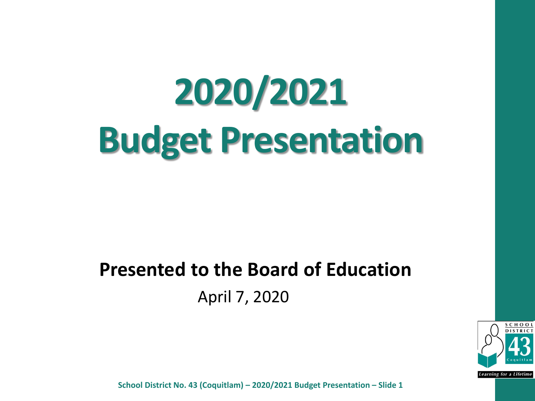# **2020/2021 Budget Presentation**

#### **Presented to the Board of Education** April 7, 2020



School District No. 43 (Coquitlam) – 2019/2020 Budget Presentation – Slide 1 **School District No. 43 (Coquitlam) – 2020/2021 Budget Presentation – Slide 1**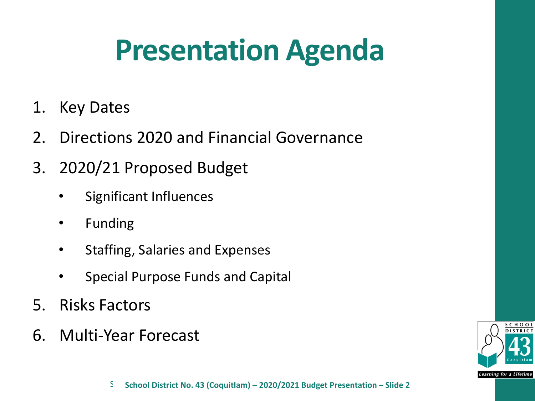### **Presentation Agenda**

- 1. Key Dates
- 2. Directions 2020 and Financial Governance
- 3. 2020/21 Proposed Budget
	- Significant Influences
	- Funding
	- Staffing, Salaries and Expenses
	- Special Purpose Funds and Capital
- 5. Risks Factors
- 6. Multi-Year Forecast

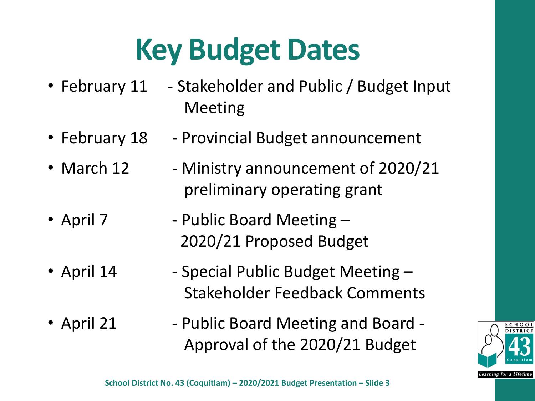### **Key Budget Dates**

- February 11 Stakeholder and Public / Budget Input Meeting
- February 18 Provincial Budget announcement
- March 12 Ministry announcement of 2020/21 preliminary operating grant
- April 7 Public Board Meeting 2020/21 Proposed Budget
- April 14 Special Public Budget Meeting -Stakeholder Feedback Comments
- April 21 Public Board Meeting and Board -Approval of the 2020/21 Budget

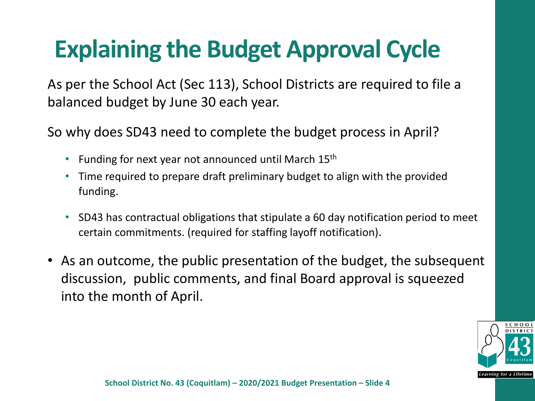### **Explaining the Budget Approval Cycle**

As per the School Act (Sec 113), School Districts are required to file a balanced budget by June 30 each year.

So why does SD43 need to complete the budget process in April?

- Funding for next year not announced until March 15<sup>th</sup>
- Time required to prepare draft preliminary budget to align with the provided funding.
- SD43 has contractual obligations that stipulate a 60 day notification period to meet certain commitments. (required for staffing layoff notification).
- As an outcome, the public presentation of the budget, the subsequent discussion, public comments, and final Board approval is squeezed into the month of April.

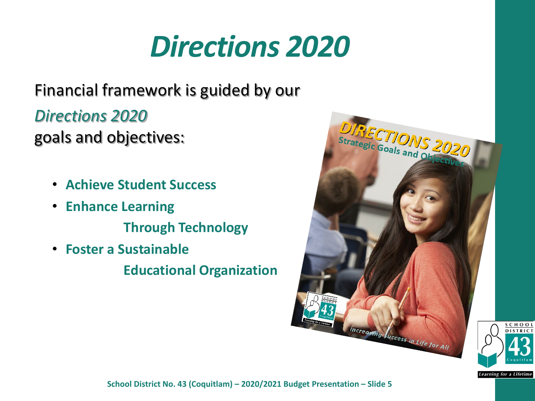### *Directions 2020*

#### Financial framework is guided by our

*Directions 2020* 

goals and objectives:

- **Achieve Student Success**
- **Enhance Learning Through Technology**
- **Foster a Sustainable**

**Educational Organization**





**Learning for a Lifetime** 

School District No. 43 (Coquitlam) – 2019/2020 Budget Presentation – Slide 5 **School District No. 43 (Coquitlam) –2020/2021 Budget Presentation – Slide 5**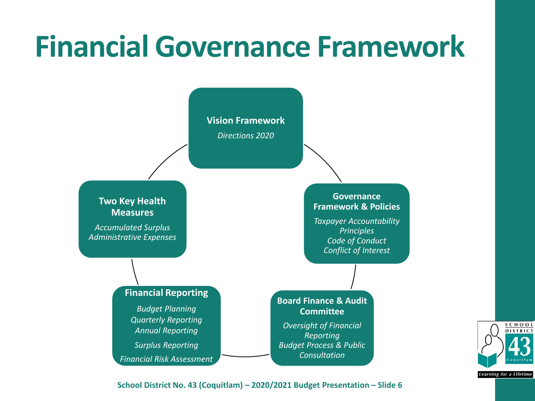### **Financial Governance Framework**



School District No. 43 (Coquitlam) – 2019/2020 Budget Presentation – Slide 6 **School District No. 43 (Coquitlam) – 2020/2021 Budget Presentation – Slide 6**

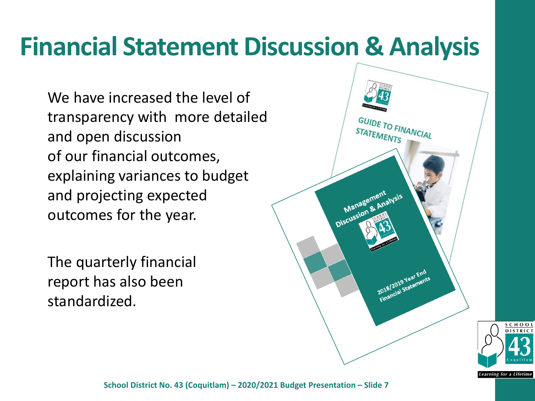### **Financial Statement Discussion & Analysis**

We have increased the level of transparency with more detailed and open discussion of our financial outcomes, explaining variances to budget and projecting expected outcomes for the year.

The quarterly financial report has also been standardized.



SCHOO

Learning for a Lifetime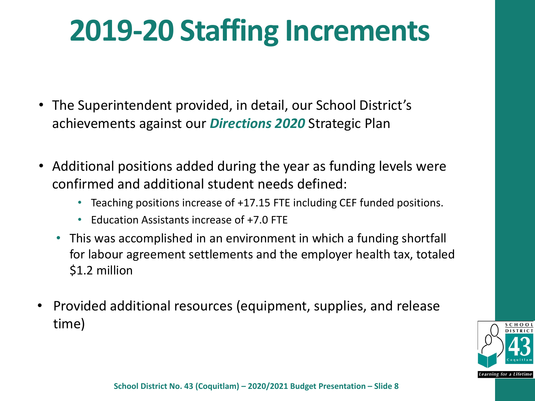### **2019-20 Staffing Increments**

- The Superintendent provided, in detail, our School District's achievements against our *Directions 2020* Strategic Plan
- Additional positions added during the year as funding levels were confirmed and additional student needs defined:
	- Teaching positions increase of +17.15 FTE including CEF funded positions.
	- Fducation Assistants increase of +7.0 FTF
	- This was accomplished in an environment in which a funding shortfall for labour agreement settlements and the employer health tax, totaled \$1.2 million
- Provided additional resources (equipment, supplies, and release time)

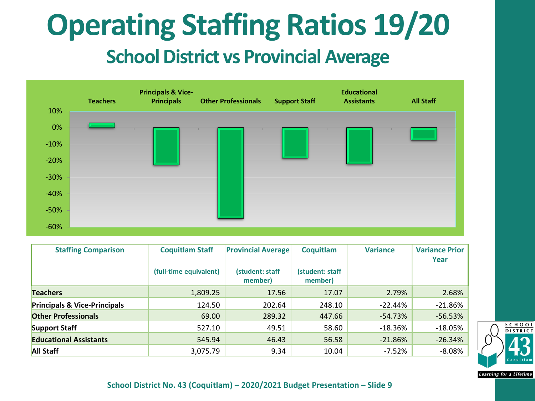### **Operating Staffing Ratios 19/20 School District vs Provincial Average**



| <b>Staffing Comparison</b>              | <b>Coquitlam Staff</b> | <b>Provincial Average</b>  | Coquitlam                  | <b>Variance</b> | <b>Variance Prior</b><br>Year |
|-----------------------------------------|------------------------|----------------------------|----------------------------|-----------------|-------------------------------|
|                                         | (full-time equivalent) | (student: staff<br>member) | (student: staff<br>member) |                 |                               |
| <b>Teachers</b>                         | 1,809.25               | 17.56                      | 17.07                      | 2.79%           | 2.68%                         |
| <b>Principals &amp; Vice-Principals</b> | 124.50                 | 202.64                     | 248.10                     | $-22.44%$       | $-21.86%$                     |
| <b>Other Professionals</b>              | 69.00                  | 289.32                     | 447.66                     | -54.73%         | $-56.53%$                     |
| Support Staff                           | 527.10                 | 49.51                      | 58.60                      | $-18.36\%$      | $-18.05%$                     |
| <b>Educational Assistants</b>           | 545.94                 | 46.43                      | 56.58                      | $-21.86%$       | $-26.34%$                     |
| <b>All Staff</b>                        | 3,075.79               | 9.34                       | 10.04                      | $-7.52%$        | $-8.08%$                      |



**Learning for a Lifetime**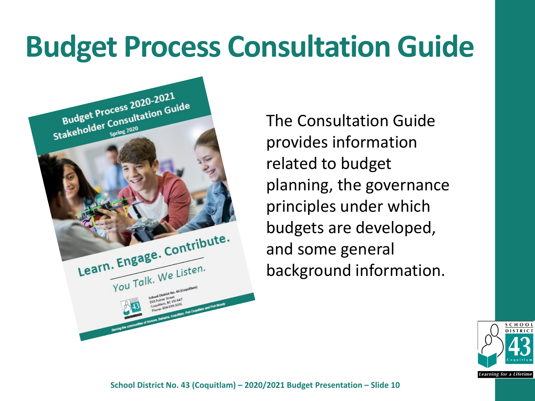### **Budget Process Consultation Guide**



The Consultation Guide provides information related to budget planning, the governance principles under which budgets are developed, and some general background information.

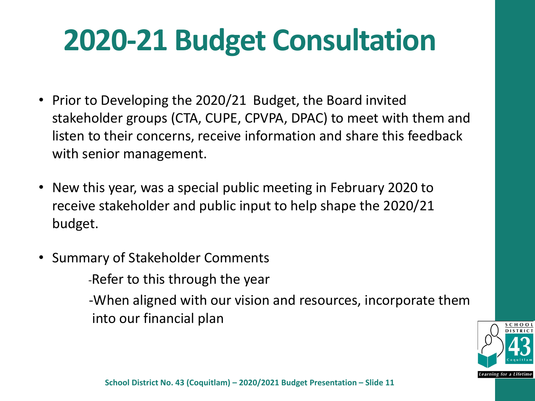### **2020-21 Budget Consultation**

- Prior to Developing the 2020/21 Budget, the Board invited stakeholder groups (CTA, CUPE, CPVPA, DPAC) to meet with them and listen to their concerns, receive information and share this feedback with senior management.
- New this year, was a special public meeting in February 2020 to receive stakeholder and public input to help shape the 2020/21 budget.
- Summary of Stakeholder Comments -Refer to this through the year

-When aligned with our vision and resources, incorporate them into our financial plan

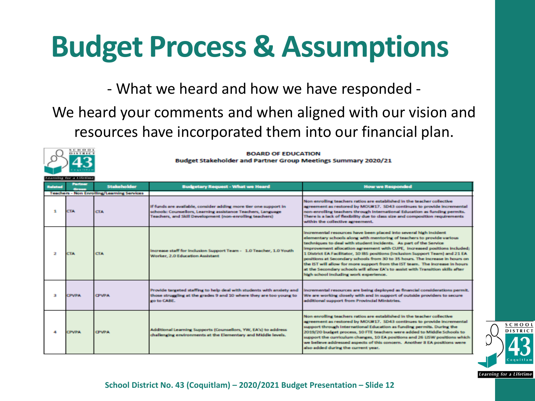### **Budget Process & Assumptions**

- What we heard and how we have responded -

#### We heard your comments and when aligned with our vision and resources have incorporated them into our financial plan.



**BOARD OF EDUCATION** 

Budget Stakeholder and Partner Group Meetings Summary 2020/21

| Related | <b>Partner</b> | <b>Stakeholder</b>                                | <b>Budgetary Request - What we Heard</b>                                                                                                                                                     | <b>How we Responded</b>                                                                                                                                                                                                                                                                                                                                                                                                                                                                                                                                                                                                                                                      |
|---------|----------------|---------------------------------------------------|----------------------------------------------------------------------------------------------------------------------------------------------------------------------------------------------|------------------------------------------------------------------------------------------------------------------------------------------------------------------------------------------------------------------------------------------------------------------------------------------------------------------------------------------------------------------------------------------------------------------------------------------------------------------------------------------------------------------------------------------------------------------------------------------------------------------------------------------------------------------------------|
|         |                | <b>Teachers - Non Enrolling/Learning Services</b> |                                                                                                                                                                                              |                                                                                                                                                                                                                                                                                                                                                                                                                                                                                                                                                                                                                                                                              |
| ÷       | <b>CTA</b>     | <b>CTA</b>                                        | If funds are available, consider adding more tier one support in<br>schools: Counsellors, Learning assistance Teachers, Language<br>Teachers, and Skill Development (non-enrolling teachers) | Non enrolling teachers ratios are established in the teacher collective<br>agreement as restored by MOU#17. SD43 continues to provide incremental<br>non-enrolling teachers through international Education as funding permits.<br>There is a lack of flexibility due to class size and composition requirements<br>within the collective agreement.                                                                                                                                                                                                                                                                                                                         |
| 2       | <b>CTA</b>     | <b>CTA</b>                                        | Increase staff for Inclusion Support Team - 1.0 Teacher, 1.0 Youth<br>Worker, 2.0 Education Assistant                                                                                        | Incremental resources have been placed into several high incident<br>elementary schools along with mentoring of teachers to provide various<br>techniques to deal with student incidents. As part of the Service<br>Improvement allocation agreement with CUPE, increased positions included:<br>1 District EA Facilitator, 10 IBS positions (Inclusion Support Team) and 21 EA<br>positions at Secondary schools from 30 to 35 hours. The Increase in hours on<br>the IST will allow for more support from the IST team. The increase in hours<br>at the Secondary schools will allow EA's to assist with Transition skills after<br>high school including work experience. |
| 盘       | <b>CPVPA</b>   | <b>CPVPA</b>                                      | Provide targeted staffing to help deal with students with ansiety and<br>those struggling at the grades 9 and 10 where they are too young to<br>go to CABE.                                  | incremental resources are being deployed as financial considerations permit.<br>We are working closely with and in support of outside providers to secure<br>additional support from Provincial Ministries.                                                                                                                                                                                                                                                                                                                                                                                                                                                                  |
|         | <b>CPVPA</b>   | <b>CPVPA</b>                                      | Additional Learning Supports (Counsellors, YW, EA's) to address<br>challenging environments at the Elementary and Middle levels.                                                             | Non enrolling teachers ratios are established in the teacher collective<br>agreement as restored by MOU#17. SD43 continues to provide incremental<br>support through International Education as funding permits. During the<br>2019/20 budget process, 10 FTE teachers were added to Middle Schools to<br>support the curriculum changes, 10 EA positions and 26 LISW positions which<br>we believe addressed aspects of this concern. Another 8 EA positions were<br>also added during the current year.                                                                                                                                                                    |



School District No. 43 (Coquitlam) – 2019/2020 Budget Presentation – Slide 12 **School District No. 43 (Coquitlam) – 2020/2021 Budget Presentation – Slide 12**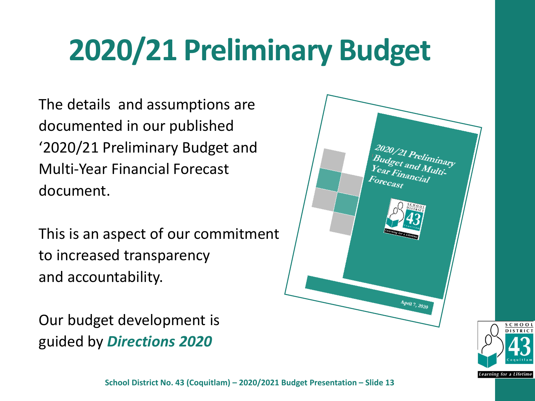### **2020/21 Preliminary Budget**

The details and assumptions are documented in our published '2020/21 Preliminary Budget and Multi-Year Financial Forecast document.

This is an aspect of our commitment to increased transparency and accountability.

Our budget development is guided by *Directions 2020* 



SCHOO

Learning for a Lifetime

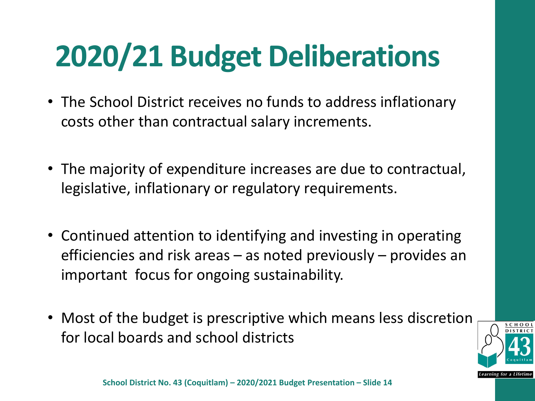# **2020/21 Budget Deliberations**

- The School District receives no funds to address inflationary costs other than contractual salary increments.
- The majority of expenditure increases are due to contractual, legislative, inflationary or regulatory requirements.
- Continued attention to identifying and investing in operating efficiencies and risk areas – as noted previously – provides an important focus for ongoing sustainability.
- Most of the budget is prescriptive which means less discretion for local boards and school districts

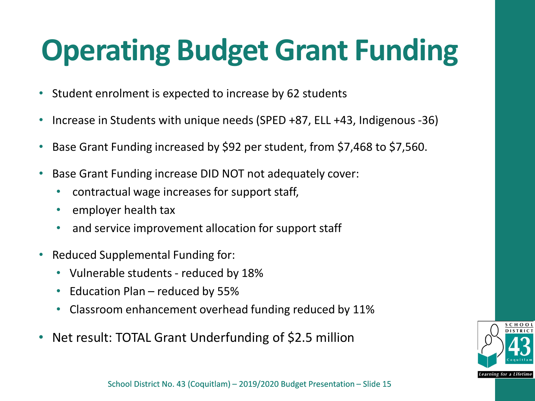### **Operating Budget Grant Funding**

- Student enrolment is expected to increase by 62 students
- Increase in Students with unique needs (SPED +87, ELL +43, Indigenous -36)
- Base Grant Funding increased by \$92 per student, from \$7,468 to \$7,560.
- Base Grant Funding increase DID NOT not adequately cover:
	- contractual wage increases for support staff,
	- employer health tax
	- and service improvement allocation for support staff
- Reduced Supplemental Funding for:
	- Vulnerable students reduced by 18%
	- Education Plan reduced by 55%
	- Classroom enhancement overhead funding reduced by 11%
- Net result: TOTAL Grant Underfunding of \$2.5 million

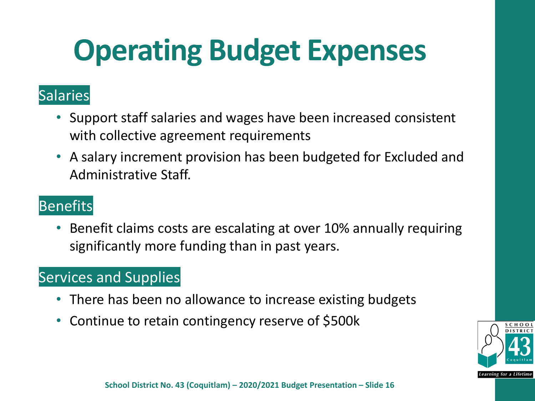### **Operating Budget Expenses**

#### **Salaries**

- Support staff salaries and wages have been increased consistent with collective agreement requirements
- A salary increment provision has been budgeted for Excluded and Administrative Staff.

#### **Benefits**

• Benefit claims costs are escalating at over 10% annually requiring significantly more funding than in past years.

#### Services and Supplies

- There has been no allowance to increase existing budgets
- Continue to retain contingency reserve of \$500k

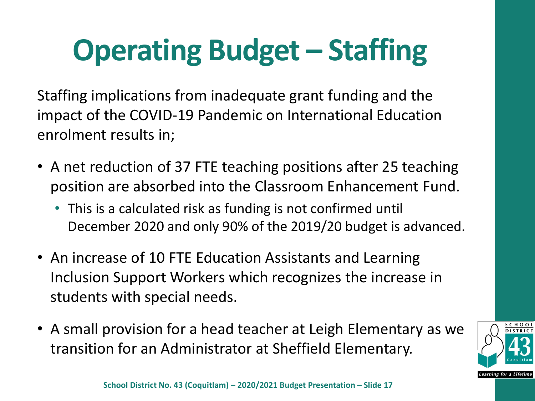# **Operating Budget – Staffing**

Staffing implications from inadequate grant funding and the impact of the COVID-19 Pandemic on International Education enrolment results in;

- A net reduction of 37 FTE teaching positions after 25 teaching position are absorbed into the Classroom Enhancement Fund.
	- This is a calculated risk as funding is not confirmed until December 2020 and only 90% of the 2019/20 budget is advanced.
- An increase of 10 FTE Education Assistants and Learning Inclusion Support Workers which recognizes the increase in students with special needs.
- A small provision for a head teacher at Leigh Elementary as we transition for an Administrator at Sheffield Elementary.

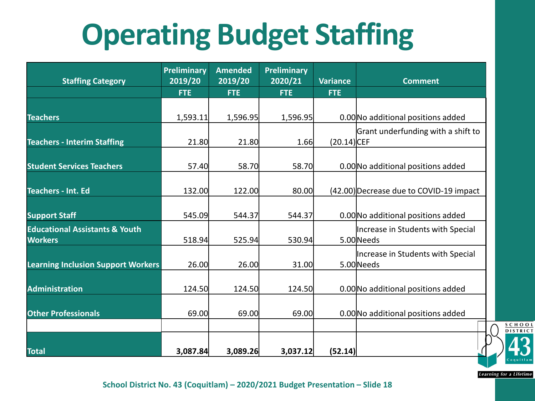# **Operating Budget Staffing**

| <b>Staffing Category</b>                                    | <b>Preliminary</b><br>2019/20 | <b>Amended</b><br>2019/20 | <b>Preliminary</b><br>2020/21 | <b>Variance</b> | <b>Comment</b>                                  |
|-------------------------------------------------------------|-------------------------------|---------------------------|-------------------------------|-----------------|-------------------------------------------------|
|                                                             | <b>FTE</b>                    | <b>FTE</b>                | <b>FTE</b>                    | <b>FTE</b>      |                                                 |
| <b>Teachers</b>                                             | 1,593.11                      | 1,596.95                  | 1,596.95                      |                 | 0.00 No additional positions added              |
| <b>Teachers - Interim Staffing</b>                          | 21.80                         | 21.80                     | 1.66                          | (20.14) CEF     | Grant underfunding with a shift to              |
| <b>Student Services Teachers</b>                            | 57.40                         | 58.70                     | 58.70                         |                 | 0.00 No additional positions added              |
| <b>Teachers - Int. Ed</b>                                   | 132.00                        | 122.00                    | 80.00                         |                 | (42.00) Decrease due to COVID-19 impact         |
| <b>Support Staff</b>                                        | 545.09                        | 544.37                    | 544.37                        |                 | 0.00 No additional positions added              |
| <b>Educational Assistants &amp; Youth</b><br><b>Workers</b> | 518.94                        | 525.94                    | 530.94                        |                 | Increase in Students with Special<br>5.00 Needs |
| <b>Learning Inclusion Support Workers</b>                   | 26.00                         | 26.00                     | 31.00                         |                 | Increase in Students with Special<br>5.00 Needs |
| <b>Administration</b>                                       | 124.50                        | 124.50                    | 124.50                        |                 | 0.00 No additional positions added              |
| <b>Other Professionals</b>                                  | 69.00                         | 69.00                     | 69.00                         |                 | 0.00 No additional positions added              |
|                                                             |                               |                           |                               |                 |                                                 |
| <b>Total</b>                                                | 3,087.84                      | 3,089.26                  | 3,037.12                      | (52.14)         |                                                 |

**Learning for a Lifetime** 

SCHOOL **DISTRICT**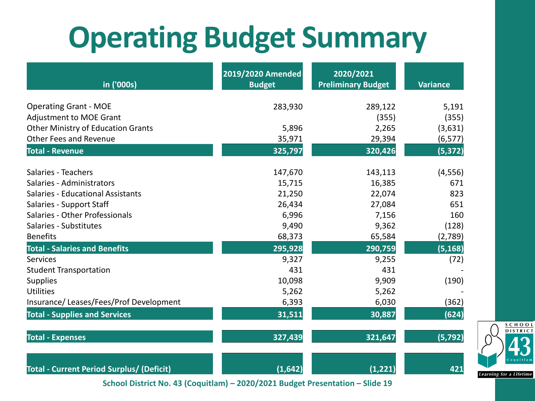### **Operating Budget Summary**

| in ('000s)                                                                 | 2019/2020 Amended<br><b>Budget</b> | 2020/2021<br><b>Preliminary Budget</b> | <b>Variance</b> |
|----------------------------------------------------------------------------|------------------------------------|----------------------------------------|-----------------|
|                                                                            |                                    |                                        |                 |
| <b>Operating Grant - MOE</b>                                               | 283,930                            | 289,122                                | 5,191           |
| <b>Adjustment to MOE Grant</b>                                             |                                    | (355)                                  | (355)           |
| <b>Other Ministry of Education Grants</b><br><b>Other Fees and Revenue</b> | 5,896                              | 2,265                                  | (3,631)         |
|                                                                            | 35,971                             | 29,394                                 | (6, 577)        |
| <b>Total - Revenue</b>                                                     | 325,797                            | 320,426                                | (5, 372)        |
| Salaries - Teachers                                                        | 147,670                            | 143,113                                | (4, 556)        |
| Salaries - Administrators                                                  | 15,715                             | 16,385                                 | 671             |
| Salaries - Educational Assistants                                          | 21,250                             | 22,074                                 | 823             |
| Salaries - Support Staff                                                   | 26,434                             | 27,084                                 | 651             |
| Salaries - Other Professionals                                             | 6,996                              | 7,156                                  | 160             |
| Salaries - Substitutes                                                     | 9,490                              | 9,362                                  | (128)           |
| <b>Benefits</b>                                                            | 68,373                             | 65,584                                 | (2,789)         |
| <b>Total - Salaries and Benefits</b>                                       | 295,928                            | 290,759                                | (5, 168)        |
| Services                                                                   | 9,327                              | 9,255                                  | (72)            |
| <b>Student Transportation</b>                                              | 431                                | 431                                    |                 |
| Supplies                                                                   | 10,098                             | 9,909                                  | (190)           |
| Utilities                                                                  | 5,262                              | 5,262                                  |                 |
| Insurance/Leases/Fees/Prof Development                                     | 6,393                              | 6,030                                  | (362)           |
| <b>Total - Supplies and Services</b>                                       | 31,511                             | 30,887                                 | (624)           |
| <b>Total - Expenses</b>                                                    | 327,439                            | 321,647                                | (5, 792)        |
| <b>Total - Current Period Surplus/ (Deficit)</b>                           | (1,642)                            | (1, 221)                               | 421             |

School District No. 43 (Coquitlam) – 2019/2020 Budget Presentation – Slide 19 **School District No. 43 (Coquitlam) – 2020/2021 Budget Presentation – Slide 19**

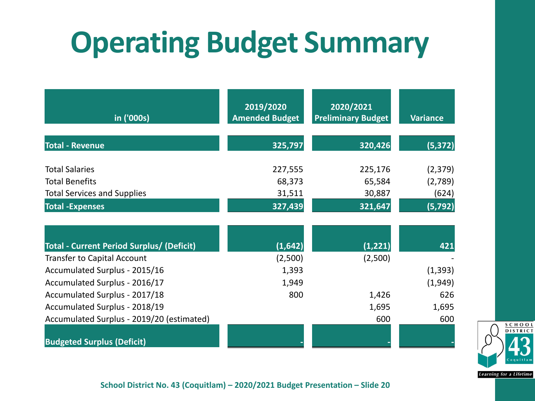### **Operating Budget Summary**

| in ('000s)                                       | 2019/2020<br><b>Amended Budget</b> | 2020/2021<br><b>Preliminary Budget</b> | <b>Variance</b> |
|--------------------------------------------------|------------------------------------|----------------------------------------|-----------------|
| <b>Total - Revenue</b>                           | 325,797                            | 320,426                                | (5, 372)        |
| <b>Total Salaries</b>                            | 227,555                            | 225,176                                | (2, 379)        |
| <b>Total Benefits</b>                            | 68,373                             | 65,584                                 | (2,789)         |
| <b>Total Services and Supplies</b>               | 31,511                             | 30,887                                 | (624)           |
| <b>Total -Expenses</b>                           | 327,439                            | 321,647                                | (5, 792)        |
|                                                  |                                    |                                        |                 |
| <b>Total - Current Period Surplus/ (Deficit)</b> | (1,642)                            | (1, 221)                               | 421             |
| <b>Transfer to Capital Account</b>               | (2,500)                            | (2,500)                                |                 |
| Accumulated Surplus - 2015/16                    | 1,393                              |                                        | (1, 393)        |
| Accumulated Surplus - 2016/17                    | 1,949                              |                                        | (1,949)         |
| Accumulated Surplus - 2017/18                    | 800                                | 1,426                                  | 626             |
| Accumulated Surplus - 2018/19                    |                                    | 1,695                                  | 1,695           |
| Accumulated Surplus - 2019/20 (estimated)        |                                    | 600                                    | 600             |
| <b>Budgeted Surplus (Deficit)</b>                |                                    |                                        |                 |



School District No. 43 (Coquitlam) – 2019/2020 Budget Presentation – Slide 20 **School District No. 43 (Coquitlam) – 2020/2021 Budget Presentation – Slide 20**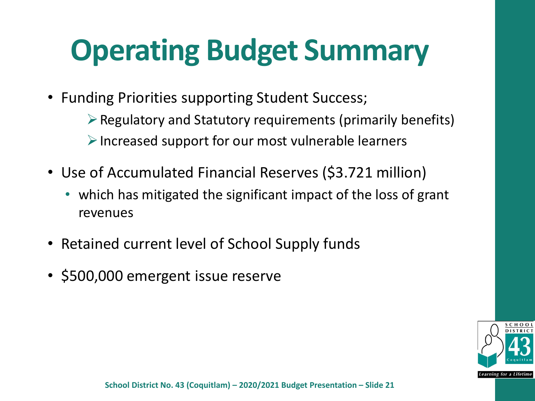### **Operating Budget Summary**

- Funding Priorities supporting Student Success;
	- $\triangleright$  Regulatory and Statutory requirements (primarily benefits)  $\triangleright$  Increased support for our most vulnerable learners
- Use of Accumulated Financial Reserves (\$3.721 million)
	- which has mitigated the significant impact of the loss of grant revenues
- Retained current level of School Supply funds
- \$500,000 emergent issue reserve

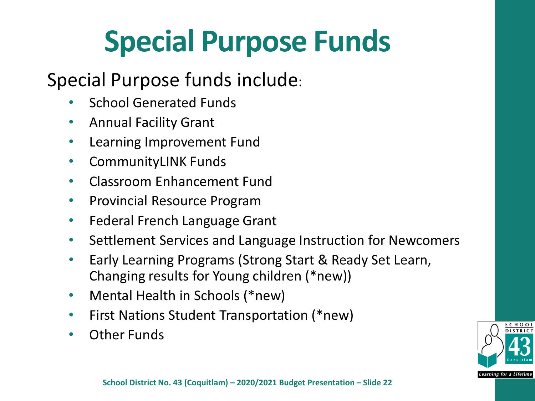### **Special Purpose Funds**

#### Special Purpose funds include:

- School Generated Funds
- Annual Facility Grant
- Learning Improvement Fund
- CommunityLINK Funds
- Classroom Enhancement Fund
- Provincial Resource Program
- Federal French Language Grant
- Settlement Services and Language Instruction for Newcomers
- Early Learning Programs (Strong Start & Ready Set Learn, Changing results for Young children (\*new))
- Mental Health in Schools (\*new)
- First Nations Student Transportation (\*new)
- Other Funds

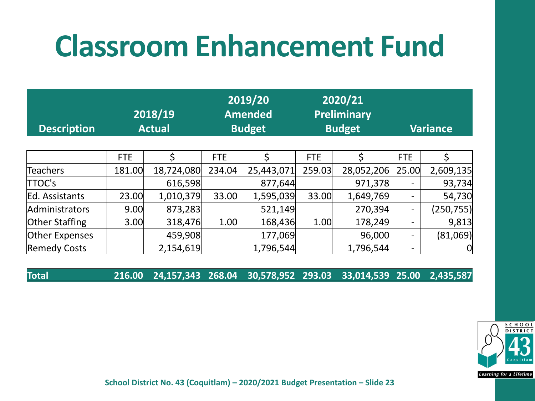### **Classroom Enhancement Fund**

| <b>Description</b>  | $\overline{ 2018/19 }$<br><b>Actual</b> |            | 2019/20<br><b>Amended</b><br><b>Budget</b> |            | 2020/21<br><b>Preliminary</b><br><b>Budget</b> |            | <b>Variance</b>          |                |
|---------------------|-----------------------------------------|------------|--------------------------------------------|------------|------------------------------------------------|------------|--------------------------|----------------|
|                     |                                         |            |                                            |            |                                                |            |                          |                |
|                     | <b>FTE</b>                              | Ś          | <b>FTE</b>                                 | Ś          | <b>FTE</b>                                     | Ś          | <b>FTE</b>               | Ś              |
| <b>Teachers</b>     | 181.00                                  | 18,724,080 | 234.04                                     | 25,443,071 | 259.03                                         | 28,052,206 | 25.00                    | 2,609,135      |
| TTOC's              |                                         | 616,598    |                                            | 877,644    |                                                | 971,378    |                          | 93,734         |
| Ed. Assistants      | 23.00                                   | 1,010,379  | 33.00                                      | 1,595,039  | 33.00                                          | 1,649,769  | $\overline{\phantom{a}}$ | 54,730         |
| Administrators      | 9.00                                    | 873,283    |                                            | 521,149    |                                                | 270,394    | $\overline{\phantom{a}}$ | (250, 755)     |
| Other Staffing      | 3.00                                    | 318,476    | 1.00                                       | 168,436    | 1.00                                           | 178,249    | $\overline{\phantom{0}}$ | 9,813          |
| Other Expenses      |                                         | 459,908    |                                            | 177,069    |                                                | 96,000     | $\overline{\phantom{a}}$ | (81,069)       |
| <b>Remedy Costs</b> |                                         | 2,154,619  |                                            | 1,796,544  |                                                | 1,796,544  | $\overline{\phantom{a}}$ | $\overline{0}$ |

**Total 216.00 24,157,343 268.04 30,578,952 293.03 33,014,539 25.00 2,435,587**



School District No. 43 (Coquitlam) – 2019/2020 Budget Presentation – Slide 23 **School District No. 43 (Coquitlam) – 2020/2021 Budget Presentation – Slide 23**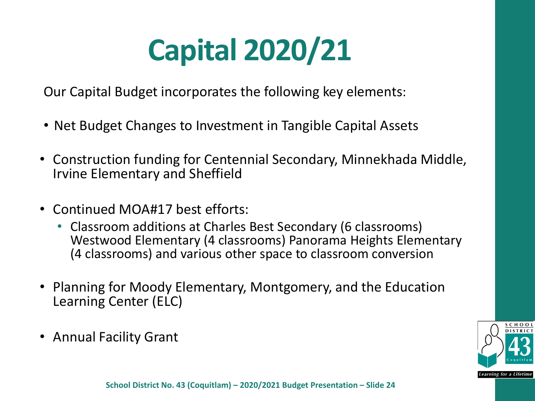# **Capital 2020/21**

Our Capital Budget incorporates the following key elements:

- Net Budget Changes to Investment in Tangible Capital Assets
- Construction funding for Centennial Secondary, Minnekhada Middle, Irvine Elementary and Sheffield
- Continued MOA#17 best efforts:
	- Classroom additions at Charles Best Secondary (6 classrooms) Westwood Elementary (4 classrooms) Panorama Heights Elementary (4 classrooms) and various other space to classroom conversion
- Planning for Moody Elementary, Montgomery, and the Education Learning Center (ELC)
- Annual Facility Grant

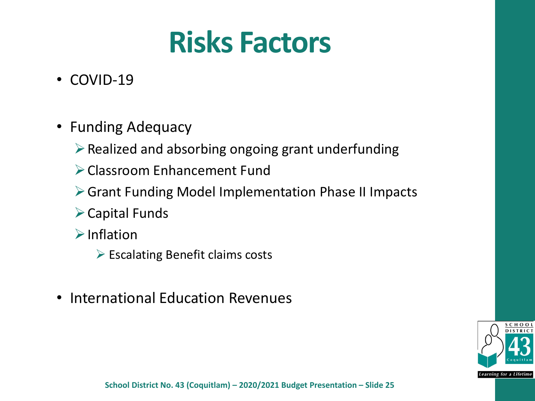### **Risks Factors**

- COVID-19
- Funding Adequacy
	- $\triangleright$  Realized and absorbing ongoing grant underfunding
	- Classroom Enhancement Fund
	- Grant Funding Model Implementation Phase II Impacts
	- Capital Funds
	- $\triangleright$ Inflation
		- $\triangleright$  Escalating Benefit claims costs
- International Education Revenues

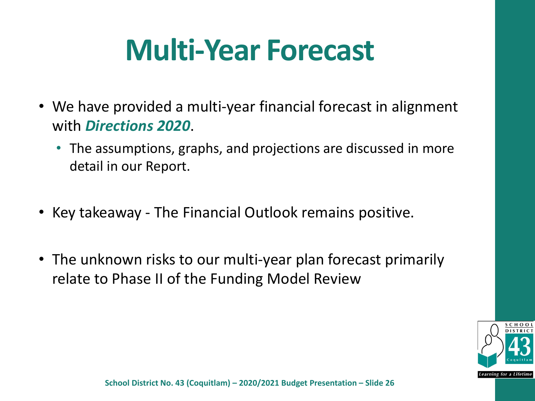### **Multi-Year Forecast**

- We have provided a multi-year financial forecast in alignment with *Directions 2020*.
	- The assumptions, graphs, and projections are discussed in more detail in our Report.
- Key takeaway The Financial Outlook remains positive.
- The unknown risks to our multi-year plan forecast primarily relate to Phase II of the Funding Model Review

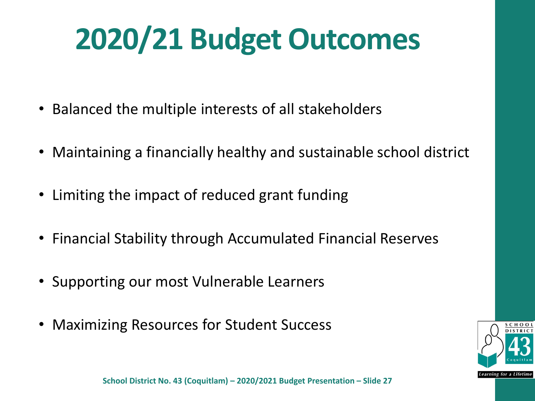# **2020/21 Budget Outcomes**

- Balanced the multiple interests of all stakeholders
- Maintaining a financially healthy and sustainable school district
- Limiting the impact of reduced grant funding
- Financial Stability through Accumulated Financial Reserves
- Supporting our most Vulnerable Learners
- Maximizing Resources for Student Success